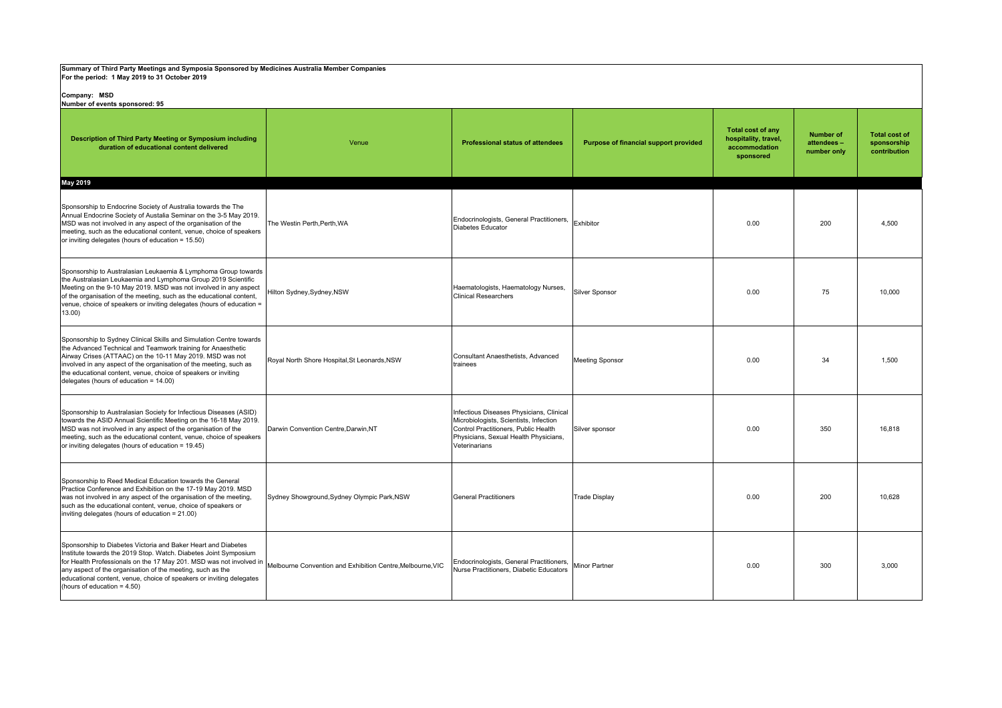| Summary of Third Party Meetings and Symposia Sponsored by Medicines Australia Member Companies<br>For the period: 1 May 2019 to 31 October 2019                                                                                                                                                                                                                                    |                                                            |                                                                                                                                                                                      |                                       |                                                                                |                                               |                                                     |  |  |
|------------------------------------------------------------------------------------------------------------------------------------------------------------------------------------------------------------------------------------------------------------------------------------------------------------------------------------------------------------------------------------|------------------------------------------------------------|--------------------------------------------------------------------------------------------------------------------------------------------------------------------------------------|---------------------------------------|--------------------------------------------------------------------------------|-----------------------------------------------|-----------------------------------------------------|--|--|
| Company: MSD<br>Number of events sponsored: 95                                                                                                                                                                                                                                                                                                                                     |                                                            |                                                                                                                                                                                      |                                       |                                                                                |                                               |                                                     |  |  |
| Description of Third Party Meeting or Symposium including<br>duration of educational content delivered                                                                                                                                                                                                                                                                             | Venue                                                      | <b>Professional status of attendees</b>                                                                                                                                              | Purpose of financial support provided | <b>Total cost of any</b><br>hospitality, travel,<br>accommodation<br>sponsored | <b>Number of</b><br>attendees-<br>number only | <b>Total cost of</b><br>sponsorship<br>contribution |  |  |
| May 2019                                                                                                                                                                                                                                                                                                                                                                           |                                                            |                                                                                                                                                                                      |                                       |                                                                                |                                               |                                                     |  |  |
| Sponsorship to Endocrine Society of Australia towards the The<br>Annual Endocrine Society of Austalia Seminar on the 3-5 May 2019.<br>MSD was not involved in any aspect of the organisation of the<br>meeting, such as the educational content, venue, choice of speakers<br>or inviting delegates (hours of education = 15.50)                                                   | The Westin Perth, Perth, WA                                | Endocrinologists, General Practitioners,<br><b>Diabetes Educator</b>                                                                                                                 | Exhibitor                             | 0.00                                                                           | 200                                           | 4,500                                               |  |  |
| Sponsorship to Australasian Leukaemia & Lymphoma Group towards<br>the Australasian Leukaemia and Lymphoma Group 2019 Scientific<br>Meeting on the 9-10 May 2019. MSD was not involved in any aspect<br>of the organisation of the meeting, such as the educational content,<br>venue, choice of speakers or inviting delegates (hours of education =<br>$13.00$ )                  | Hilton Sydney, Sydney, NSW                                 | Haematologists, Haematology Nurses,<br><b>Clinical Researchers</b>                                                                                                                   | Silver Sponsor                        | 0.00                                                                           | 75                                            | 10.000                                              |  |  |
| Sponsorship to Sydney Clinical Skills and Simulation Centre towards<br>the Advanced Technical and Teamwork training for Anaesthetic<br>Airway Crises (ATTAAC) on the 10-11 May 2019, MSD was not<br>involved in any aspect of the organisation of the meeting, such as<br>the educational content, venue, choice of speakers or inviting<br>delegates (hours of education = 14.00) | Royal North Shore Hospital, St Leonards, NSW               | Consultant Anaesthetists, Advanced<br>trainees                                                                                                                                       | <b>Meeting Sponsor</b>                | 0.00                                                                           | 34                                            | 1.500                                               |  |  |
| Sponsorship to Australasian Society for Infectious Diseases (ASID)<br>towards the ASID Annual Scientific Meeting on the 16-18 May 2019.<br>MSD was not involved in any aspect of the organisation of the<br>meeting, such as the educational content, venue, choice of speakers<br>or inviting delegates (hours of education = 19.45)                                              | Darwin Convention Centre, Darwin, NT                       | Infectious Diseases Physicians, Clinical<br>Microbiologists, Scientists, Infection<br>Control Practitioners, Public Health<br>Physicians, Sexual Health Physicians,<br>Veterinarians | Silver sponsor                        | 0.00                                                                           | 350                                           | 16.818                                              |  |  |
| Sponsorship to Reed Medical Education towards the General<br>Practice Conference and Exhibition on the 17-19 May 2019. MSD<br>was not involved in any aspect of the organisation of the meeting,<br>such as the educational content, venue, choice of speakers or<br>inviting delegates (hours of education = 21.00)                                                               | Sydney Showground, Sydney Olympic Park, NSW                | <b>General Practitioners</b>                                                                                                                                                         | <b>Trade Display</b>                  | 0.00                                                                           | 200                                           | 10.628                                              |  |  |
| Sponsorship to Diabetes Victoria and Baker Heart and Diabetes<br>Institute towards the 2019 Stop. Watch. Diabetes Joint Symposium<br>for Health Professionals on the 17 May 201. MSD was not involved in<br>any aspect of the organisation of the meeting, such as the<br>educational content, venue, choice of speakers or inviting delegates<br>(hours of education = 4.50)      | Melbourne Convention and Exhibition Centre, Melbourne, VIC | Endocrinologists, General Practitioners,<br>Nurse Practitioners, Diabetic Educators                                                                                                  | Minor Partner                         | 0.00                                                                           | 300                                           | 3.000                                               |  |  |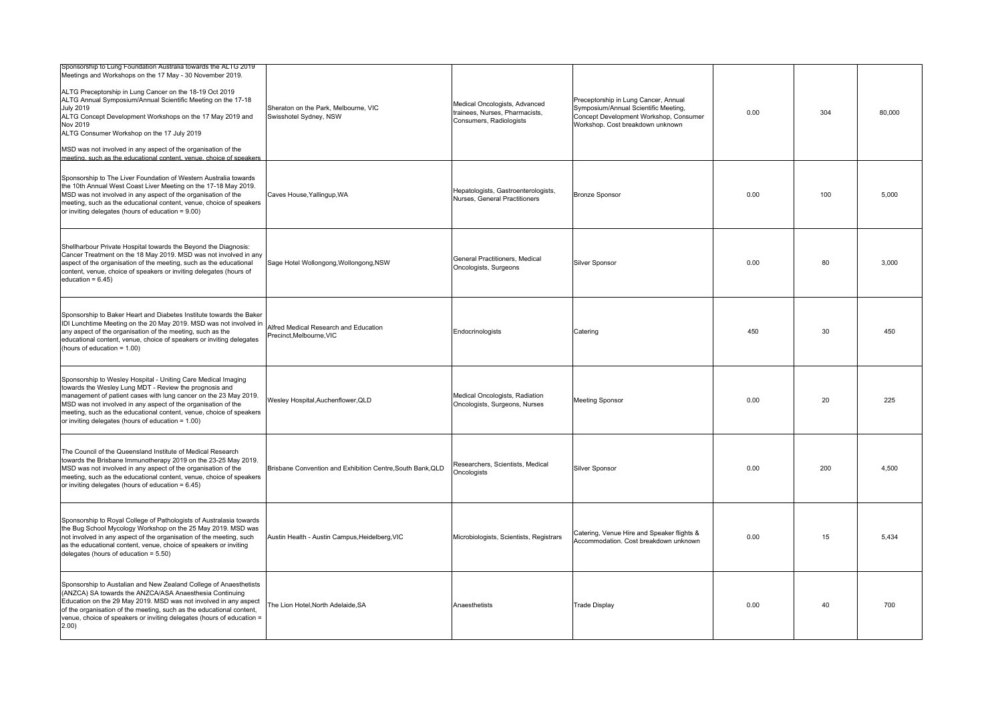| Sponsorship to Lung Foundation Australia towards the ALTG 2019<br>Meetings and Workshops on the 17 May - 30 November 2019.<br>ALTG Preceptorship in Lung Cancer on the 18-19 Oct 2019<br>ALTG Annual Symposium/Annual Scientific Meeting on the 17-18<br><b>July 2019</b><br>ALTG Concept Development Workshops on the 17 May 2019 and<br>Nov 2019<br>ALTG Consumer Workshop on the 17 July 2019<br>MSD was not involved in any aspect of the organisation of the<br>meeting, such as the educational content, venue, choice of speakers | Sheraton on the Park, Melbourne, VIC<br>Swisshotel Sydney, NSW  | Medical Oncologists, Advanced<br>trainees, Nurses, Pharmacists,<br>Consumers, Radiologists | Preceptorship in Lung Cancer, Annual<br>Symposium/Annual Scientific Meeting,<br>Concept Development Workshop, Consumer<br>Workshop. Cost breakdown unknown | 0.00 | 304 | 80.000 |
|------------------------------------------------------------------------------------------------------------------------------------------------------------------------------------------------------------------------------------------------------------------------------------------------------------------------------------------------------------------------------------------------------------------------------------------------------------------------------------------------------------------------------------------|-----------------------------------------------------------------|--------------------------------------------------------------------------------------------|------------------------------------------------------------------------------------------------------------------------------------------------------------|------|-----|--------|
| Sponsorship to The Liver Foundation of Western Australia towards<br>the 10th Annual West Coast Liver Meeting on the 17-18 May 2019.<br>MSD was not involved in any aspect of the organisation of the<br>meeting, such as the educational content, venue, choice of speakers<br>or inviting delegates (hours of education = 9.00)                                                                                                                                                                                                         | Caves House, Yallingup, WA                                      | Hepatologists, Gastroenterologists,<br>Nurses, General Practitioners                       | <b>Bronze Sponsor</b>                                                                                                                                      | 0.00 | 100 | 5.000  |
| Shellharbour Private Hospital towards the Beyond the Diagnosis:<br>Cancer Treatment on the 18 May 2019. MSD was not involved in any<br>aspect of the organisation of the meeting, such as the educational<br>content, venue, choice of speakers or inviting delegates (hours of<br>education = $6.45$ )                                                                                                                                                                                                                                  | Sage Hotel Wollongong, Wollongong, NSW                          | General Practitioners, Medical<br>Oncologists, Surgeons                                    | <b>Silver Sponsor</b>                                                                                                                                      | 0.00 | 80  | 3,000  |
| Sponsorship to Baker Heart and Diabetes Institute towards the Baker<br>IDI Lunchtime Meeting on the 20 May 2019. MSD was not involved in<br>any aspect of the organisation of the meeting, such as the<br>educational content, venue, choice of speakers or inviting delegates<br>(hours of education = 1.00)                                                                                                                                                                                                                            | Alfred Medical Research and Education<br>Precinct.Melbourne.VIC | Endocrinologists                                                                           | Catering                                                                                                                                                   | 450  | 30  | 450    |
| Sponsorship to Wesley Hospital - Uniting Care Medical Imaging<br>towards the Wesley Lung MDT - Review the prognosis and<br>management of patient cases with lung cancer on the 23 May 2019.<br>MSD was not involved in any aspect of the organisation of the<br>meeting, such as the educational content, venue, choice of speakers<br>or inviting delegates (hours of education = 1.00)                                                                                                                                                 | Wesley Hospital, Auchenflower, QLD                              | Medical Oncologists, Radiation<br>Oncologists, Surgeons, Nurses                            | <b>Meeting Sponsor</b>                                                                                                                                     | 0.00 | 20  | 225    |
| The Council of the Queensland Institute of Medical Research<br>towards the Brisbane Immunotherapy 2019 on the 23-25 May 2019.<br>MSD was not involved in any aspect of the organisation of the<br>meeting, such as the educational content, venue, choice of speakers<br>or inviting delegates (hours of education = 6.45)                                                                                                                                                                                                               | Brisbane Convention and Exhibition Centre, South Bank, QLD      | Researchers, Scientists, Medical<br>Oncologists                                            | Silver Sponsor                                                                                                                                             | 0.00 | 200 | 4.500  |
| Sponsorship to Royal College of Pathologists of Australasia towards<br>the Bug School Mycology Workshop on the 25 May 2019. MSD was<br>not involved in any aspect of the organisation of the meeting, such<br>as the educational content, venue, choice of speakers or inviting<br>delegates (hours of education = $5.50$ )                                                                                                                                                                                                              | Austin Health - Austin Campus, Heidelberg, VIC                  | Microbiologists, Scientists, Registrars                                                    | Catering, Venue Hire and Speaker flights &<br>Accommodation. Cost breakdown unknown                                                                        | 0.00 | 15  | 5.434  |
| Sponsorship to Austalian and New Zealand College of Anaesthetists<br>(ANZCA) SA towards the ANZCA/ASA Anaesthesia Continuing<br>Education on the 29 May 2019. MSD was not involved in any aspect<br>of the organisation of the meeting, such as the educational content,<br>venue, choice of speakers or inviting delegates (hours of education =<br>2.00)                                                                                                                                                                               | The Lion Hotel, North Adelaide, SA                              | Anaesthetists                                                                              | <b>Trade Display</b>                                                                                                                                       | 0.00 | 40  | 700    |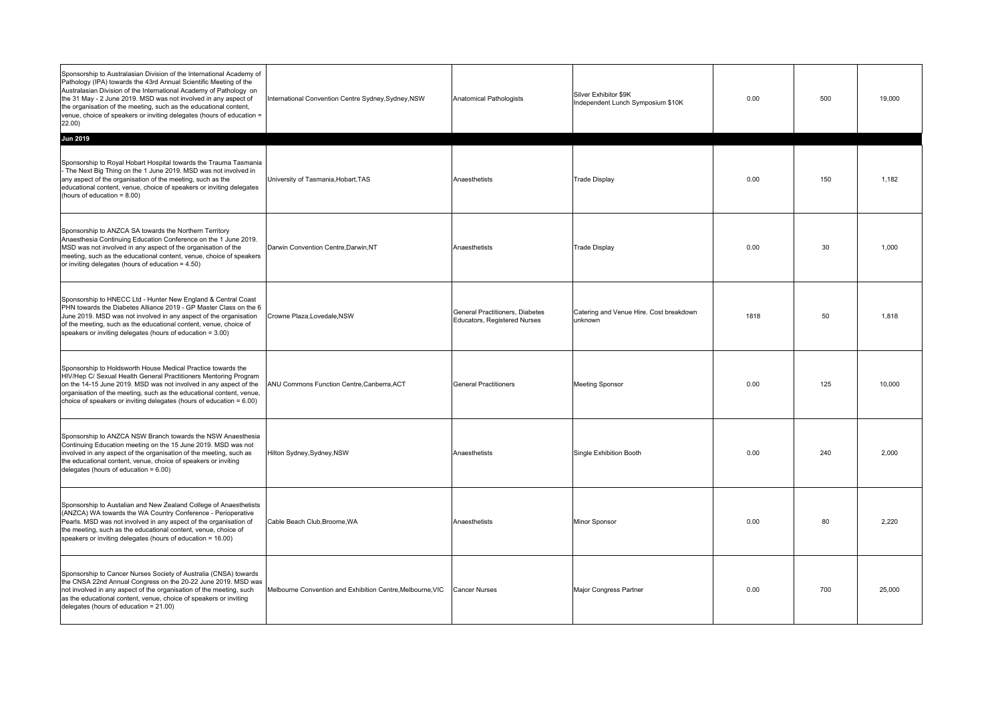| Sponsorship to Australasian Division of the International Academy of<br>Pathology (IPA) towards the 43rd Annual Scientific Meeting of the<br>Australasian Division of the International Academy of Pathology on<br>the 31 May - 2 June 2019. MSD was not involved in any aspect of<br>the organisation of the meeting, such as the educational content,<br>venue, choice of speakers or inviting delegates (hours of education =<br>22.00) | International Convention Centre Sydney, Sydney, NSW        | Anatomical Pathologists                                         | Silver Exhibitor \$9K<br>Independent Lunch Symposium \$10K | 0.00 | 500 | 19,000 |
|--------------------------------------------------------------------------------------------------------------------------------------------------------------------------------------------------------------------------------------------------------------------------------------------------------------------------------------------------------------------------------------------------------------------------------------------|------------------------------------------------------------|-----------------------------------------------------------------|------------------------------------------------------------|------|-----|--------|
| <b>Jun 2019</b><br>Sponsorship to Royal Hobart Hospital towards the Trauma Tasmania<br>The Next Big Thing on the 1 June 2019. MSD was not involved in<br>any aspect of the organisation of the meeting, such as the<br>educational content, venue, choice of speakers or inviting delegates<br>(hours of education = 8.00)                                                                                                                 | University of Tasmania, Hobart, TAS                        | Anaesthetists                                                   | <b>Trade Display</b>                                       | 0.00 | 150 | 1.182  |
| Sponsorship to ANZCA SA towards the Northern Territory<br>Anaesthesia Continuing Education Conference on the 1 June 2019.<br>MSD was not involved in any aspect of the organisation of the<br>meeting, such as the educational content, venue, choice of speakers<br>or inviting delegates (hours of education = 4.50)                                                                                                                     | Darwin Convention Centre, Darwin, NT                       | Anaesthetists                                                   | <b>Trade Display</b>                                       | 0.00 | 30  | 1.000  |
| Sponsorship to HNECC Ltd - Hunter New England & Central Coast<br>PHN towards the Diabetes Alliance 2019 - GP Master Class on the 6<br>June 2019. MSD was not involved in any aspect of the organisation<br>of the meeting, such as the educational content, venue, choice of<br>speakers or inviting delegates (hours of education = 3.00)                                                                                                 | Crowne Plaza, Lovedale, NSW                                | General Practitioners, Diabetes<br>Educators, Registered Nurses | Catering and Venue Hire. Cost breakdown<br>unknown         | 1818 | 50  | 1.818  |
| Sponsorship to Holdsworth House Medical Practice towards the<br>HIV/Hep C/ Sexual Health General Practitioners Mentoring Program<br>on the 14-15 June 2019. MSD was not involved in any aspect of the<br>organisation of the meeting, such as the educational content, venue,<br>choice of speakers or inviting delegates (hours of education = 6.00)                                                                                      | ANU Commons Function Centre, Canberra, ACT                 | <b>General Practitioners</b>                                    | <b>Meeting Sponsor</b>                                     | 0.00 | 125 | 10,000 |
| Sponsorship to ANZCA NSW Branch towards the NSW Anaesthesia<br>Continuing Education meeting on the 15 June 2019. MSD was not<br>involved in any aspect of the organisation of the meeting, such as<br>the educational content, venue, choice of speakers or inviting<br>delegates (hours of education $= 6.00$ )                                                                                                                           | Hilton Sydney, Sydney, NSW                                 | Anaesthetists                                                   | Single Exhibition Booth                                    | 0.00 | 240 | 2.000  |
| Sponsorship to Austalian and New Zealand College of Anaesthetists<br>(ANZCA) WA towards the WA Country Conference - Perioperative<br>Pearls. MSD was not involved in any aspect of the organisation of<br>the meeting, such as the educational content, venue, choice of<br>speakers or inviting delegates (hours of education = 16.00)                                                                                                    | Cable Beach Club, Broome, WA                               | Anaesthetists                                                   | Minor Sponsor                                              | 0.00 | 80  | 2,220  |
| Sponsorship to Cancer Nurses Society of Australia (CNSA) towards<br>the CNSA 22nd Annual Congress on the 20-22 June 2019. MSD was<br>not involved in any aspect of the organisation of the meeting, such<br>as the educational content, venue, choice of speakers or inviting<br>delegates (hours of education = 21.00)                                                                                                                    | Melbourne Convention and Exhibition Centre, Melbourne, VIC | <b>Cancer Nurses</b>                                            | Major Congress Partner                                     | 0.00 | 700 | 25.000 |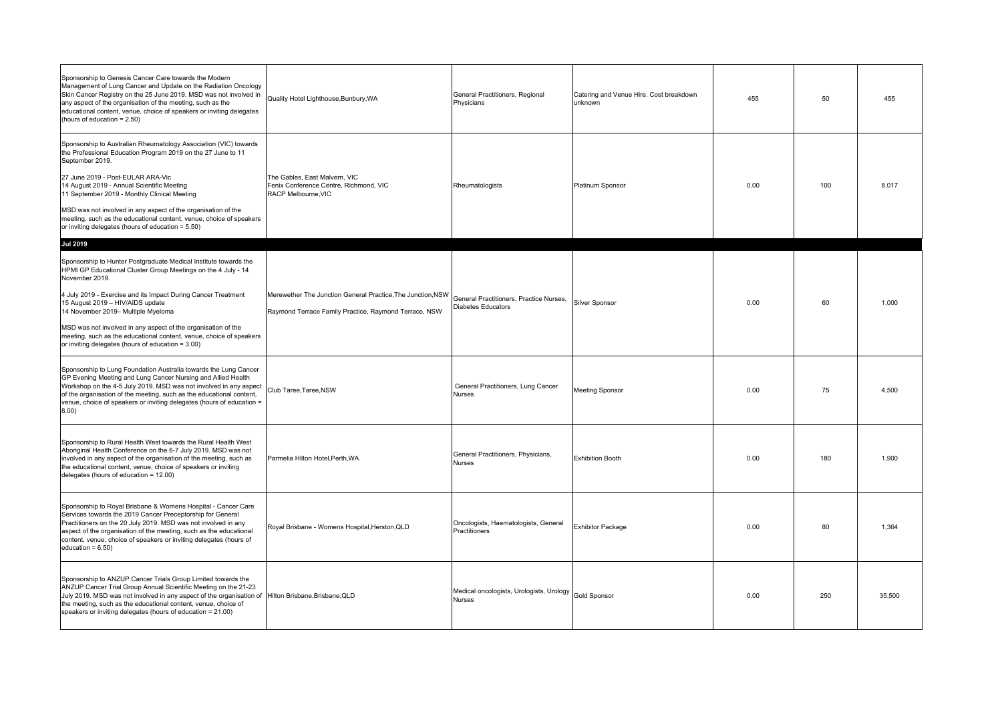| Sponsorship to Genesis Cancer Care towards the Modern<br>Management of Lung Cancer and Update on the Radiation Oncology<br>Skin Cancer Registry on the 25 June 2019. MSD was not involved in<br>any aspect of the organisation of the meeting, such as the<br>educational content, venue, choice of speakers or inviting delegates<br>(hours of education = 2.50)                                                                                                                                              | Quality Hotel Lighthouse, Bunbury, WA                                                                                | General Practitioners, Regional<br>Physicians                 | Catering and Venue Hire. Cost breakdown<br>unknown | 455  | 50  | 455    |
|----------------------------------------------------------------------------------------------------------------------------------------------------------------------------------------------------------------------------------------------------------------------------------------------------------------------------------------------------------------------------------------------------------------------------------------------------------------------------------------------------------------|----------------------------------------------------------------------------------------------------------------------|---------------------------------------------------------------|----------------------------------------------------|------|-----|--------|
| Sponsorship to Australian Rheumatology Association (VIC) towards<br>the Professional Education Program 2019 on the 27 June to 11<br>September 2019.<br>27 June 2019 - Post-EULAR ARA-Vic<br>14 August 2019 - Annual Scientific Meeting<br>11 September 2019 - Monthly Clinical Meeting<br>MSD was not involved in any aspect of the organisation of the<br>meeting, such as the educational content, venue, choice of speakers<br>or inviting delegates (hours of education = 5.50)                            | The Gables, East Malvern, VIC<br>Fenix Conference Centre, Richmond, VIC<br>RACP Melbourne, VIC                       | Rheumatologists                                               | Platinum Sponsor                                   | 0.00 | 100 | 8.017  |
| <b>Jul 2019</b><br>Sponsorship to Hunter Postgraduate Medical Institute towards the<br>HPMI GP Educational Cluster Group Meetings on the 4 July - 14<br>November 2019.<br>4 July 2019 - Exercise and its Impact During Cancer Treatment<br>15 August 2019 - HIV/AIDS update<br>14 November 2019- Multiple Myeloma<br>MSD was not involved in any aspect of the organisation of the<br>meeting, such as the educational content, venue, choice of speakers<br>or inviting delegates (hours of education = 3.00) | Merewether The Junction General Practice, The Junction, NSW<br>Raymond Terrace Family Practice, Raymond Terrace, NSW | General Practitioners, Practice Nurses,<br>Diabetes Educators | <b>Silver Sponsor</b>                              | 0.00 | 60  | 1.000  |
| Sponsorship to Lung Foundation Australia towards the Lung Cancer<br>GP Evening Meeting and Lung Cancer Nursing and Allied Health<br>Workshop on the 4-5 July 2019. MSD was not involved in any aspect<br>of the organisation of the meeting, such as the educational content,<br>venue, choice of speakers or inviting delegates (hours of education =<br>(00.8)                                                                                                                                               | Club Taree, Taree, NSW                                                                                               | General Practitioners, Lung Cancer<br><b>Nurses</b>           | <b>Meeting Sponsor</b>                             | 0.00 | 75  | 4.500  |
| Sponsorship to Rural Health West towards the Rural Health West<br>Aboriginal Health Conference on the 6-7 July 2019. MSD was not<br>involved in any aspect of the organisation of the meeting, such as<br>the educational content, venue, choice of speakers or inviting<br>delegates (hours of education = 12.00)                                                                                                                                                                                             | Parmelia Hilton Hotel, Perth, WA                                                                                     | General Practitioners, Physicians,<br>Nurses                  | <b>Exhibition Booth</b>                            | 0.00 | 180 | 1,900  |
| Sponsorship to Royal Brisbane & Womens Hospital - Cancer Care<br>Services towards the 2019 Cancer Preceptorship for General<br>Practitioners on the 20 July 2019. MSD was not involved in any<br>aspect of the organisation of the meeting, such as the educational<br>content, venue, choice of speakers or inviting delegates (hours of<br>education = $6.50$ )                                                                                                                                              | Royal Brisbane - Womens Hospital, Herston, QLD                                                                       | Oncologists, Haematologists, General<br>Practitioners         | <b>Exhibitor Package</b>                           | 0.00 | 80  | 1.364  |
| Sponsorship to ANZUP Cancer Trials Group Limited towards the<br>ANZUP Cancer Trial Group Annual Scientific Meeting on the 21-23<br>July 2019. MSD was not involved in any aspect of the organisation of Hilton Brisbane, Brisbane, QLD<br>the meeting, such as the educational content, venue, choice of<br>speakers or inviting delegates (hours of education = 21.00)                                                                                                                                        |                                                                                                                      | Medical oncologists, Urologists, Urology<br>Nurses            | <b>Gold Sponsor</b>                                | 0.00 | 250 | 35.500 |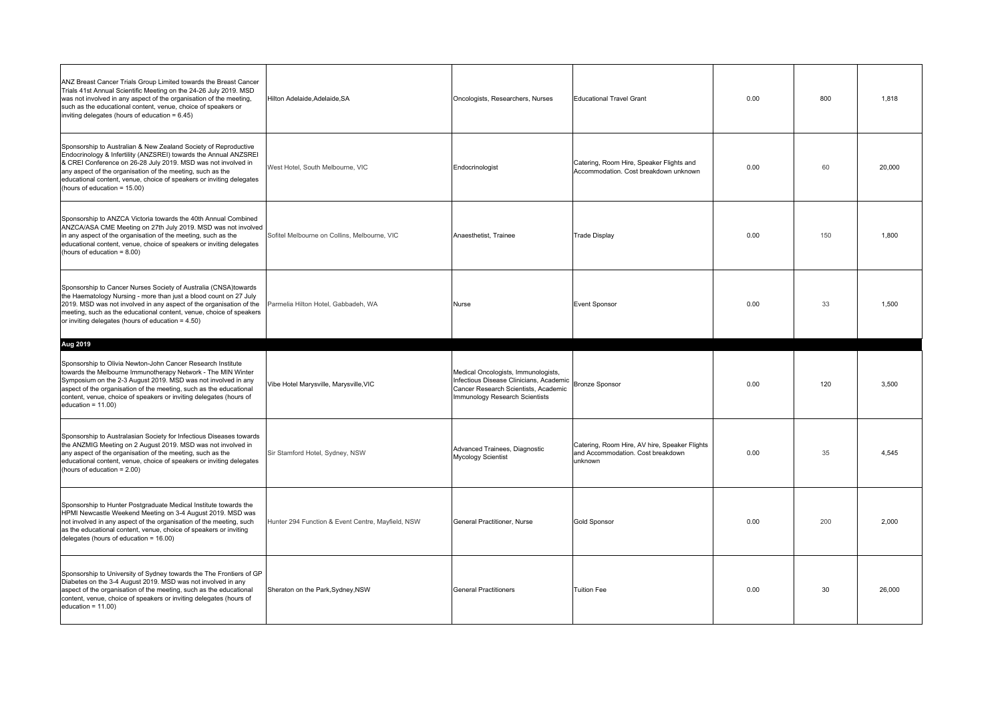| ANZ Breast Cancer Trials Group Limited towards the Breast Cancer<br>Trials 41st Annual Scientific Meeting on the 24-26 July 2019. MSD<br>was not involved in any aspect of the organisation of the meeting,<br>such as the educational content, venue, choice of speakers or<br>inviting delegates (hours of education = 6.45)                                             | Hilton Adelaide, Adelaide, SA                     | Oncologists, Researchers, Nurses                                                                                                                         | <b>Educational Travel Grant</b>                                                               | 0.00 | 800 | 1,818  |
|----------------------------------------------------------------------------------------------------------------------------------------------------------------------------------------------------------------------------------------------------------------------------------------------------------------------------------------------------------------------------|---------------------------------------------------|----------------------------------------------------------------------------------------------------------------------------------------------------------|-----------------------------------------------------------------------------------------------|------|-----|--------|
| Sponsorship to Australian & New Zealand Society of Reproductive<br>Endocrinology & Infertility (ANZSREI) towards the Annual ANZSREI<br>& CREI Conference on 26-28 July 2019. MSD was not involved in<br>any aspect of the organisation of the meeting, such as the<br>educational content, venue, choice of speakers or inviting delegates<br>(hours of education = 15.00) | West Hotel, South Melbourne, VIC                  | Endocrinologist                                                                                                                                          | Catering, Room Hire, Speaker Flights and<br>Accommodation. Cost breakdown unknown             | 0.00 | 60  | 20.000 |
| Sponsorship to ANZCA Victoria towards the 40th Annual Combined<br>ANZCA/ASA CME Meeting on 27th July 2019. MSD was not involved<br>in any aspect of the organisation of the meeting, such as the<br>educational content, venue, choice of speakers or inviting delegates<br>(hours of education = 8.00)                                                                    | Sofitel Melbourne on Collins, Melbourne, VIC      | Anaesthetist, Trainee                                                                                                                                    | <b>Trade Display</b>                                                                          | 0.00 | 150 | 1,800  |
| Sponsorship to Cancer Nurses Society of Australia (CNSA)towards<br>the Haematology Nursing - more than just a blood count on 27 July<br>2019. MSD was not involved in any aspect of the organisation of the<br>meeting, such as the educational content, venue, choice of speakers<br>or inviting delegates (hours of education = 4.50)                                    | Parmelia Hilton Hotel, Gabbadeh, WA               | Nurse                                                                                                                                                    | <b>Event Sponsor</b>                                                                          | 0.00 | 33  | 1.500  |
|                                                                                                                                                                                                                                                                                                                                                                            |                                                   |                                                                                                                                                          |                                                                                               |      |     |        |
| Aug 2019                                                                                                                                                                                                                                                                                                                                                                   |                                                   |                                                                                                                                                          |                                                                                               |      |     |        |
| Sponsorship to Olivia Newton-John Cancer Research Institute<br>towards the Melbourne Immunotherapy Network - The MIN Winter<br>Symposium on the 2-3 August 2019. MSD was not involved in any<br>aspect of the organisation of the meeting, such as the educational<br>content, venue, choice of speakers or inviting delegates (hours of<br>education = $11.00$ )          | Vibe Hotel Marysville, Marysville, VIC            | Medical Oncologists, Immunologists,<br>Infectious Disease Clinicians, Academic<br>Cancer Research Scientists, Academic<br>Immunology Research Scientists | <b>Bronze Sponsor</b>                                                                         | 0.00 | 120 | 3.500  |
| Sponsorship to Australasian Society for Infectious Diseases towards<br>the ANZMIG Meeting on 2 August 2019. MSD was not involved in<br>any aspect of the organisation of the meeting, such as the<br>educational content, venue, choice of speakers or inviting delegates<br>(hours of education = 2.00)                                                                   | Sir Stamford Hotel, Sydney, NSW                   | Advanced Trainees, Diagnostic<br><b>Mycology Scientist</b>                                                                                               | Catering, Room Hire, AV hire, Speaker Flights<br>and Accommodation. Cost breakdown<br>unknown | 0.00 | 35  | 4,545  |
| Sponsorship to Hunter Postgraduate Medical Institute towards the<br>HPMI Newcastle Weekend Meeting on 3-4 August 2019. MSD was<br>not involved in any aspect of the organisation of the meeting, such<br>as the educational content, venue, choice of speakers or inviting<br>delegates (hours of education = 16.00)                                                       | Hunter 294 Function & Event Centre, Mayfield, NSW | General Practitioner, Nurse                                                                                                                              | <b>Gold Sponsor</b>                                                                           | 0.00 | 200 | 2.000  |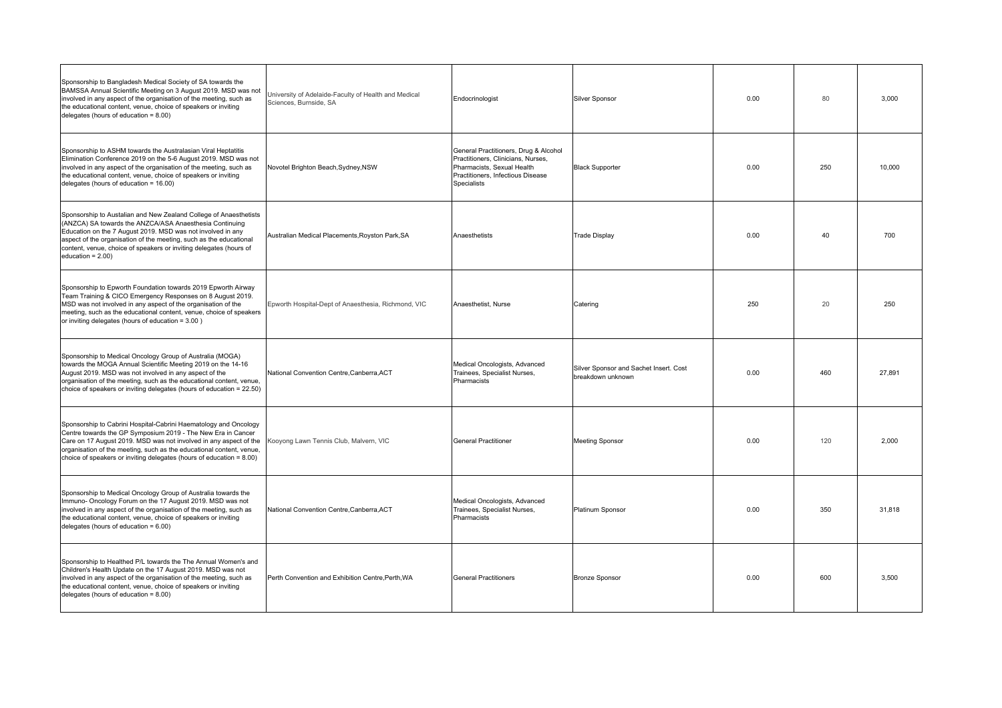| Sponsorship to Bangladesh Medical Society of SA towards the<br>BAMSSA Annual Scientific Meeting on 3 August 2019. MSD was not<br>involved in any aspect of the organisation of the meeting, such as<br>the educational content, venue, choice of speakers or inviting<br>delegates (hours of education = $8.00$ )                                               | University of Adelaide-Faculty of Health and Medical<br>Sciences, Burnside, SA | Endocrinologist                                                                                                                                                      | Silver Sponsor                                              | 0.00 | 80  | 3,000  |
|-----------------------------------------------------------------------------------------------------------------------------------------------------------------------------------------------------------------------------------------------------------------------------------------------------------------------------------------------------------------|--------------------------------------------------------------------------------|----------------------------------------------------------------------------------------------------------------------------------------------------------------------|-------------------------------------------------------------|------|-----|--------|
| Sponsorship to ASHM towards the Australasian Viral Heptatitis<br>Elimination Conference 2019 on the 5-6 August 2019. MSD was not<br>involved in any aspect of the organisation of the meeting, such as<br>the educational content, venue, choice of speakers or inviting<br>delegates (hours of education = 16.00)                                              | Novotel Brighton Beach, Sydney, NSW                                            | General Practitioners, Drug & Alcohol<br>Practitioners, Clinicians, Nurses,<br>Pharmacists, Sexual Health<br>Practitioners, Infectious Disease<br><b>Specialists</b> | <b>Black Supporter</b>                                      | 0.00 | 250 | 10,000 |
| Sponsorship to Austalian and New Zealand College of Anaesthetists<br>(ANZCA) SA towards the ANZCA/ASA Anaesthesia Continuing<br>Education on the 7 August 2019. MSD was not involved in any<br>aspect of the organisation of the meeting, such as the educational<br>content, venue, choice of speakers or inviting delegates (hours of<br>education = $2.00$ ) | Australian Medical Placements, Royston Park, SA                                | Anaesthetists                                                                                                                                                        | <b>Trade Display</b>                                        | 0.00 | 40  | 700    |
| Sponsorship to Epworth Foundation towards 2019 Epworth Airway<br>Team Training & CICO Emergency Responses on 8 August 2019.<br>MSD was not involved in any aspect of the organisation of the<br>meeting, such as the educational content, venue, choice of speakers<br>or inviting delegates (hours of education = 3.00)                                        | Epworth Hospital-Dept of Anaesthesia, Richmond, VIC                            | Anaesthetist, Nurse                                                                                                                                                  | Catering                                                    | 250  | 20  | 250    |
| Sponsorship to Medical Oncology Group of Australia (MOGA)<br>towards the MOGA Annual Scientific Meeting 2019 on the 14-16<br>August 2019. MSD was not involved in any aspect of the<br>organisation of the meeting, such as the educational content, venue,<br>choice of speakers or inviting delegates (hours of education = 22.50)                            | National Convention Centre, Canberra, ACT                                      | Medical Oncologists, Advanced<br>Trainees, Specialist Nurses,<br>Pharmacists                                                                                         | Silver Sponsor and Sachet Insert. Cost<br>breakdown unknown | 0.00 | 460 | 27.891 |
| Sponsorship to Cabrini Hospital-Cabrini Haematology and Oncology<br>Centre towards the GP Symposium 2019 - The New Era in Cancer<br>Care on 17 August 2019. MSD was not involved in any aspect of the<br>organisation of the meeting, such as the educational content, venue,<br>choice of speakers or inviting delegates (hours of education $= 8.00$ )        | Kooyong Lawn Tennis Club, Malvern, VIC                                         | <b>General Practitioner</b>                                                                                                                                          | <b>Meeting Sponsor</b>                                      | 0.00 | 120 | 2.000  |
| Sponsorship to Medical Oncology Group of Australia towards the<br>Immuno- Oncology Forum on the 17 August 2019. MSD was not<br>involved in any aspect of the organisation of the meeting, such as<br>the educational content, venue, choice of speakers or inviting<br>delegates (hours of education $= 6.00$ )                                                 | National Convention Centre, Canberra, ACT                                      | Medical Oncologists, Advanced<br>Trainees, Specialist Nurses,<br>Pharmacists                                                                                         | Platinum Sponsor                                            | 0.00 | 350 | 31,818 |
| Sponsorship to Healthed P/L towards the The Annual Women's and<br>Children's Health Update on the 17 August 2019. MSD was not<br>involved in any aspect of the organisation of the meeting, such as<br>the educational content, venue, choice of speakers or inviting<br>delegates (hours of education $= 8.00$ )                                               | Perth Convention and Exhibition Centre, Perth, WA                              | <b>General Practitioners</b>                                                                                                                                         | <b>Bronze Sponsor</b>                                       | 0.00 | 600 | 3.500  |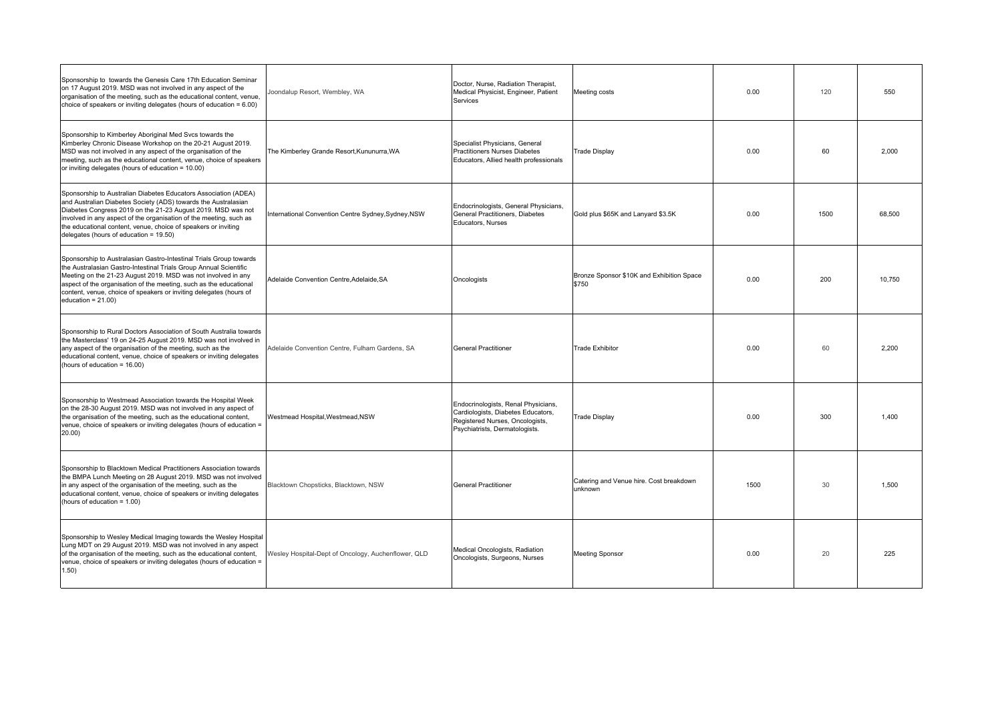| Sponsorship to towards the Genesis Care 17th Education Seminar<br>on 17 August 2019. MSD was not involved in any aspect of the<br>organisation of the meeting, such as the educational content, venue,<br>choice of speakers or inviting delegates (hours of education $= 6.00$ )                                                                                                   | Joondalup Resort, Wembley, WA                       | Doctor, Nurse, Radiation Therapist,<br>Medical Physicist, Engineer, Patient<br>Services                                                        | Meeting costs                                      | 0.00 | 120  | 550    |
|-------------------------------------------------------------------------------------------------------------------------------------------------------------------------------------------------------------------------------------------------------------------------------------------------------------------------------------------------------------------------------------|-----------------------------------------------------|------------------------------------------------------------------------------------------------------------------------------------------------|----------------------------------------------------|------|------|--------|
| Sponsorship to Kimberley Aboriginal Med Svcs towards the<br>Kimberley Chronic Disease Workshop on the 20-21 August 2019.<br>MSD was not involved in any aspect of the organisation of the<br>meeting, such as the educational content, venue, choice of speakers<br>or inviting delegates (hours of education = 10.00)                                                              | The Kimberley Grande Resort, Kununurra, WA          | Specialist Physicians, General<br><b>Practitioners Nurses Diabetes</b><br>Educators, Allied health professionals                               | <b>Trade Display</b>                               | 0.00 | 60   | 2.000  |
| Sponsorship to Australian Diabetes Educators Association (ADEA)<br>and Australian Diabetes Society (ADS) towards the Australasian<br>Diabetes Congress 2019 on the 21-23 August 2019. MSD was not<br>involved in any aspect of the organisation of the meeting, such as<br>the educational content, venue, choice of speakers or inviting<br>delegates (hours of education = 19.50) | International Convention Centre Sydney, Sydney, NSW | Endocrinologists, General Physicians,<br><b>General Practitioners, Diabetes</b><br>Educators, Nurses                                           | Gold plus \$65K and Lanyard \$3.5K                 | 0.00 | 1500 | 68.500 |
| Sponsorship to Australasian Gastro-Intestinal Trials Group towards<br>the Australasian Gastro-Intestinal Trials Group Annual Scientific<br>Meeting on the 21-23 August 2019. MSD was not involved in any<br>aspect of the organisation of the meeting, such as the educational<br>content, venue, choice of speakers or inviting delegates (hours of<br>education = $21.00$ )       | Adelaide Convention Centre.Adelaide.SA              | Oncologists                                                                                                                                    | Bronze Sponsor \$10K and Exhibition Space<br>\$750 | 0.00 | 200  | 10.750 |
| Sponsorship to Rural Doctors Association of South Australia towards<br>the Masterclass' 19 on 24-25 August 2019. MSD was not involved in<br>any aspect of the organisation of the meeting, such as the<br>educational content, venue, choice of speakers or inviting delegates<br>(hours of education = 16.00)                                                                      | Adelaide Convention Centre, Fulham Gardens, SA      | <b>General Practitioner</b>                                                                                                                    | <b>Trade Exhibitor</b>                             | 0.00 | 60   | 2.200  |
| Sponsorship to Westmead Association towards the Hospital Week<br>on the 28-30 August 2019. MSD was not involved in any aspect of<br>the organisation of the meeting, such as the educational content,<br>venue, choice of speakers or inviting delegates (hours of education =<br>20.00)                                                                                            | Westmead Hospital, Westmead, NSW                    | Endocrinologists, Renal Physicians,<br>Cardiologists, Diabetes Educators,<br>Registered Nurses, Oncologists,<br>Psychiatrists, Dermatologists. | <b>Trade Display</b>                               | 0.00 | 300  | 1.400  |
| Sponsorship to Blacktown Medical Practitioners Association towards<br>the BMPA Lunch Meeting on 28 August 2019. MSD was not involved<br>in any aspect of the organisation of the meeting, such as the<br>educational content, venue, choice of speakers or inviting delegates<br>(hours of education = 1.00)                                                                        | Blacktown Chopsticks, Blacktown, NSW                | <b>General Practitioner</b>                                                                                                                    | Catering and Venue hire. Cost breakdown<br>unknown | 1500 | 30   | 1.500  |
| Sponsorship to Wesley Medical Imaging towards the Wesley Hospital<br>Lung MDT on 29 August 2019. MSD was not involved in any aspect<br>of the organisation of the meeting, such as the educational content,<br>venue, choice of speakers or inviting delegates (hours of education =<br>1.50)                                                                                       | Wesley Hospital-Dept of Oncology, Auchenflower, QLD | Medical Oncologists, Radiation<br>Oncologists, Surgeons, Nurses                                                                                | <b>Meeting Sponsor</b>                             | 0.00 | 20   | 225    |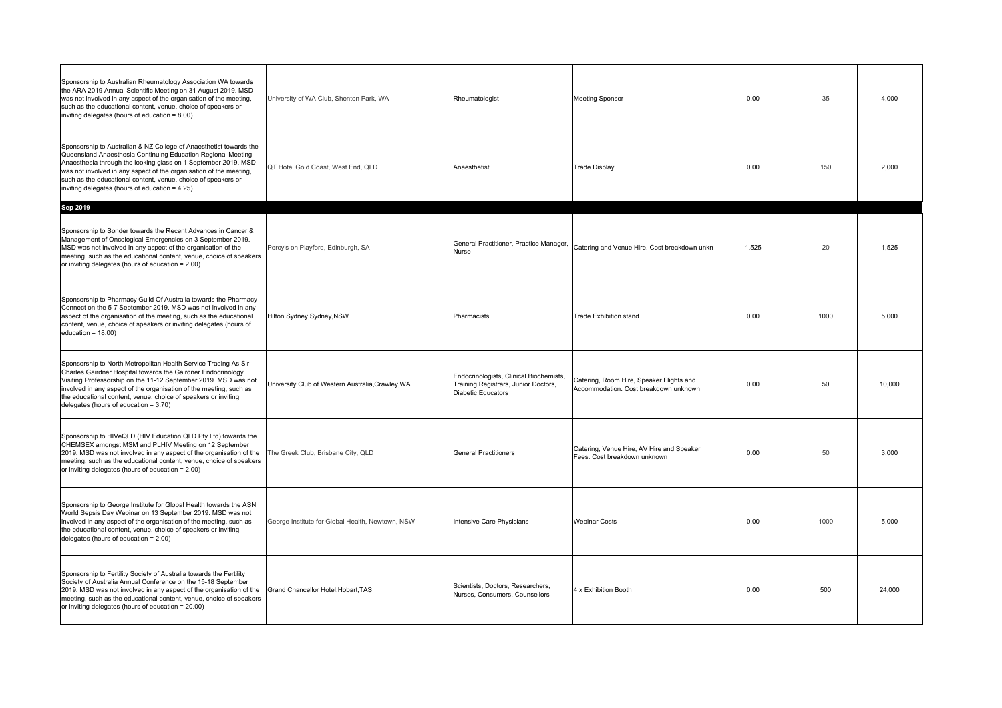| Sponsorship to Australian Rheumatology Association WA towards<br>the ARA 2019 Annual Scientific Meeting on 31 August 2019. MSD<br>was not involved in any aspect of the organisation of the meeting,<br>such as the educational content, venue, choice of speakers or<br>inviting delegates (hours of education = 8.00)                                                                         | University of WA Club, Shenton Park, WA           | Rheumatologist                                                                                        | <b>Meeting Sponsor</b>                                                            | 0.00  | 35   | 4,000  |
|-------------------------------------------------------------------------------------------------------------------------------------------------------------------------------------------------------------------------------------------------------------------------------------------------------------------------------------------------------------------------------------------------|---------------------------------------------------|-------------------------------------------------------------------------------------------------------|-----------------------------------------------------------------------------------|-------|------|--------|
| Sponsorship to Australian & NZ College of Anaesthetist towards the<br>Queensland Anaesthesia Continuing Education Regional Meeting -<br>Anaesthesia through the looking glass on 1 September 2019. MSD<br>was not involved in any aspect of the organisation of the meeting,<br>such as the educational content, venue, choice of speakers or<br>inviting delegates (hours of education = 4.25) | QT Hotel Gold Coast, West End, QLD                | Anaesthetist                                                                                          | <b>Trade Display</b>                                                              | 0.00  | 150  | 2.000  |
| Sep 2019                                                                                                                                                                                                                                                                                                                                                                                        |                                                   |                                                                                                       |                                                                                   |       |      |        |
| Sponsorship to Sonder towards the Recent Advances in Cancer &<br>Management of Oncological Emergencies on 3 September 2019.<br>MSD was not involved in any aspect of the organisation of the<br>meeting, such as the educational content, venue, choice of speakers<br>or inviting delegates (hours of education = 2.00)                                                                        | Percy's on Playford, Edinburgh, SA                | General Practitioner, Practice Manager,<br><b>Nurse</b>                                               | Catering and Venue Hire. Cost breakdown unkn                                      | 1.525 | 20   | 1.525  |
| Sponsorship to Pharmacy Guild Of Australia towards the Pharmacy<br>Connect on the 5-7 September 2019. MSD was not involved in any<br>aspect of the organisation of the meeting, such as the educational<br>content, venue, choice of speakers or inviting delegates (hours of<br>education = $18.00$ )                                                                                          | Hilton Sydney, Sydney, NSW                        | Pharmacists                                                                                           | <b>Trade Exhibition stand</b>                                                     | 0.00  | 1000 | 5.000  |
| Sponsorship to North Metropolitan Health Service Trading As Sir<br>Charles Gairdner Hospital towards the Gairdner Endocrinology<br>Visiting Professorship on the 11-12 September 2019. MSD was not<br>involved in any aspect of the organisation of the meeting, such as<br>the educational content, venue, choice of speakers or inviting<br>delegates (hours of education = $3.70$ )          | University Club of Western Australia, Crawley, WA | Endocrinologists, Clinical Biochemists,<br>Training Registrars, Junior Doctors,<br>Diabetic Educators | Catering, Room Hire, Speaker Flights and<br>Accommodation. Cost breakdown unknown | 0.00  | 50   | 10,000 |
| Sponsorship to HIVeQLD (HIV Education QLD Pty Ltd) towards the<br>CHEMSEX amongst MSM and PLHIV Meeting on 12 September<br>2019. MSD was not involved in any aspect of the organisation of the<br>meeting, such as the educational content, venue, choice of speakers<br>or inviting delegates (hours of education = 2.00)                                                                      | The Greek Club, Brisbane City, QLD                | <b>General Practitioners</b>                                                                          | Catering, Venue Hire, AV Hire and Speaker<br>Fees. Cost breakdown unknown         | 0.00  | 50   | 3.000  |
| Sponsorship to George Institute for Global Health towards the ASN<br>World Sepsis Day Webinar on 13 September 2019. MSD was not<br>involved in any aspect of the organisation of the meeting, such as<br>the educational content, venue, choice of speakers or inviting<br>delegates (hours of education = 2.00)                                                                                | George Institute for Global Health, Newtown, NSW  | Intensive Care Physicians                                                                             | <b>Webinar Costs</b>                                                              | 0.00  | 1000 | 5.000  |
| Sponsorship to Fertility Society of Australia towards the Fertility<br>Society of Australia Annual Conference on the 15-18 September<br>2019. MSD was not involved in any aspect of the organisation of the<br>meeting, such as the educational content, venue, choice of speakers<br>or inviting delegates (hours of education = 20.00)                                                        | Grand Chancellor Hotel, Hobart, TAS               | Scientists, Doctors, Researchers,<br>Nurses, Consumers, Counsellors                                   | 4 x Exhibition Booth                                                              | 0.00  | 500  | 24.000 |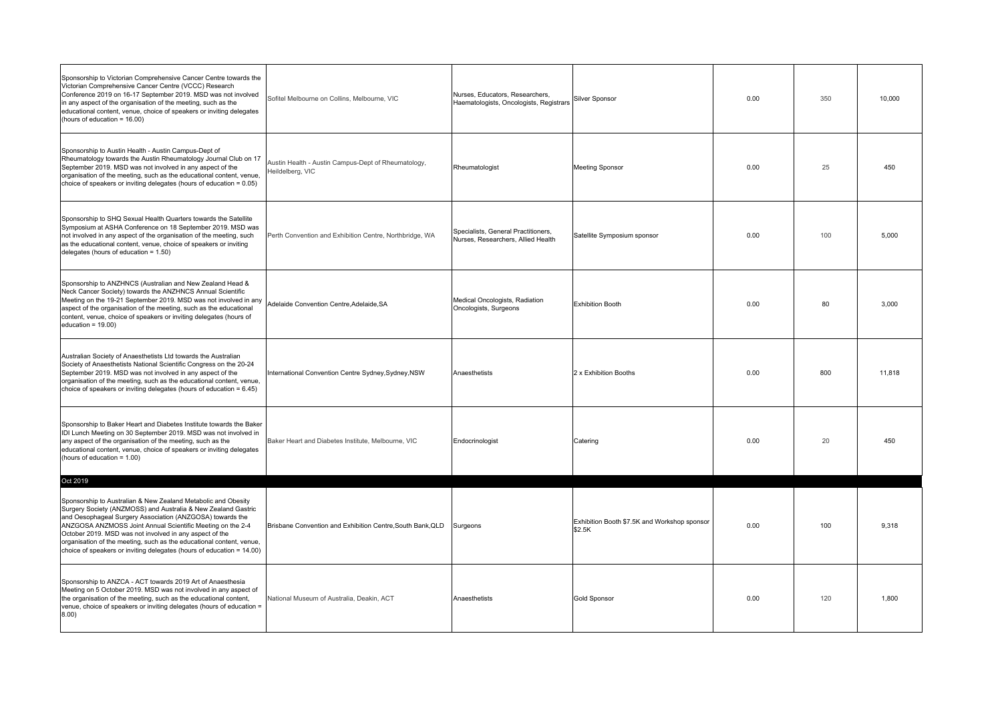| Sponsorship to Victorian Comprehensive Cancer Centre towards the<br>Victorian Comprehensive Cancer Centre (VCCC) Research<br>Conference 2019 on 16-17 September 2019. MSD was not involved<br>in any aspect of the organisation of the meeting, such as the<br>educational content, venue, choice of speakers or inviting delegates<br>(hours of education = 16.00)                                                                                                   | Sofitel Melbourne on Collins, Melbourne, VIC                            | Nurses, Educators, Researchers,<br>Haematologists, Oncologists, Registrars | Silver Sponsor                                         | 0.00 | 350 | 10.000 |
|-----------------------------------------------------------------------------------------------------------------------------------------------------------------------------------------------------------------------------------------------------------------------------------------------------------------------------------------------------------------------------------------------------------------------------------------------------------------------|-------------------------------------------------------------------------|----------------------------------------------------------------------------|--------------------------------------------------------|------|-----|--------|
| Sponsorship to Austin Health - Austin Campus-Dept of<br>Rheumatology towards the Austin Rheumatology Journal Club on 17<br>September 2019. MSD was not involved in any aspect of the<br>organisation of the meeting, such as the educational content, venue,<br>choice of speakers or inviting delegates (hours of education = 0.05)                                                                                                                                  | Austin Health - Austin Campus-Dept of Rheumatology,<br>Heildelberg, VIC | Rheumatologist                                                             | Meeting Sponsor                                        | 0.00 | 25  | 450    |
| Sponsorship to SHQ Sexual Health Quarters towards the Satellite<br>Symposium at ASHA Conference on 18 September 2019. MSD was<br>not involved in any aspect of the organisation of the meeting, such<br>as the educational content, venue, choice of speakers or inviting<br>delegates (hours of education = 1.50)                                                                                                                                                    | Perth Convention and Exhibition Centre, Northbridge, WA                 | Specialists, General Practitioners,<br>Nurses, Researchers, Allied Health  | Satellite Symposium sponsor                            | 0.00 | 100 | 5.000  |
| Sponsorship to ANZHNCS (Australian and New Zealand Head &<br>Neck Cancer Society) towards the ANZHNCS Annual Scientific<br>Meeting on the 19-21 September 2019. MSD was not involved in any<br>aspect of the organisation of the meeting, such as the educational<br>content, venue, choice of speakers or inviting delegates (hours of<br>education = $19.00$ )                                                                                                      | Adelaide Convention Centre, Adelaide, SA                                | Medical Oncologists, Radiation<br>Oncologists, Surgeons                    | <b>Exhibition Booth</b>                                | 0.00 | 80  | 3,000  |
| Australian Society of Anaesthetists Ltd towards the Australian<br>Society of Anaesthetists National Scientific Congress on the 20-24<br>September 2019. MSD was not involved in any aspect of the<br>organisation of the meeting, such as the educational content, venue,<br>choice of speakers or inviting delegates (hours of education = 6.45)                                                                                                                     | International Convention Centre Sydney, Sydney, NSW                     | Anaesthetists                                                              | 2 x Exhibition Booths                                  | 0.00 | 800 | 11.818 |
| Sponsorship to Baker Heart and Diabetes Institute towards the Baker<br>IDI Lunch Meeting on 30 September 2019. MSD was not involved in<br>any aspect of the organisation of the meeting, such as the<br>educational content, venue, choice of speakers or inviting delegates<br>(hours of education = 1.00)                                                                                                                                                           | Baker Heart and Diabetes Institute, Melbourne, VIC                      | Endocrinologist                                                            | Catering                                               | 0.00 | 20  | 450    |
| Oct 2019                                                                                                                                                                                                                                                                                                                                                                                                                                                              |                                                                         |                                                                            |                                                        |      |     |        |
| Sponsorship to Australian & New Zealand Metabolic and Obesity<br>Surgery Society (ANZMOSS) and Australia & New Zealand Gastric<br>and Oesophageal Surgery Association (ANZGOSA) towards the<br>ANZGOSA ANZMOSS Joint Annual Scientific Meeting on the 2-4<br>October 2019. MSD was not involved in any aspect of the<br>organisation of the meeting, such as the educational content, venue,<br>choice of speakers or inviting delegates (hours of education = 14.00) | Brisbane Convention and Exhibition Centre, South Bank, QLD              | Surgeons                                                                   | Exhibition Booth \$7.5K and Workshop sponsor<br>\$2.5K | 0.00 | 100 | 9.318  |
| Sponsorship to ANZCA - ACT towards 2019 Art of Anaesthesia<br>Meeting on 5 October 2019. MSD was not involved in any aspect of<br>the organisation of the meeting, such as the educational content,<br>venue, choice of speakers or inviting delegates (hours of education =<br>(00.8)                                                                                                                                                                                | National Museum of Australia, Deakin, ACT                               | Anaesthetists                                                              | Gold Sponsor                                           | 0.00 | 120 | 1.800  |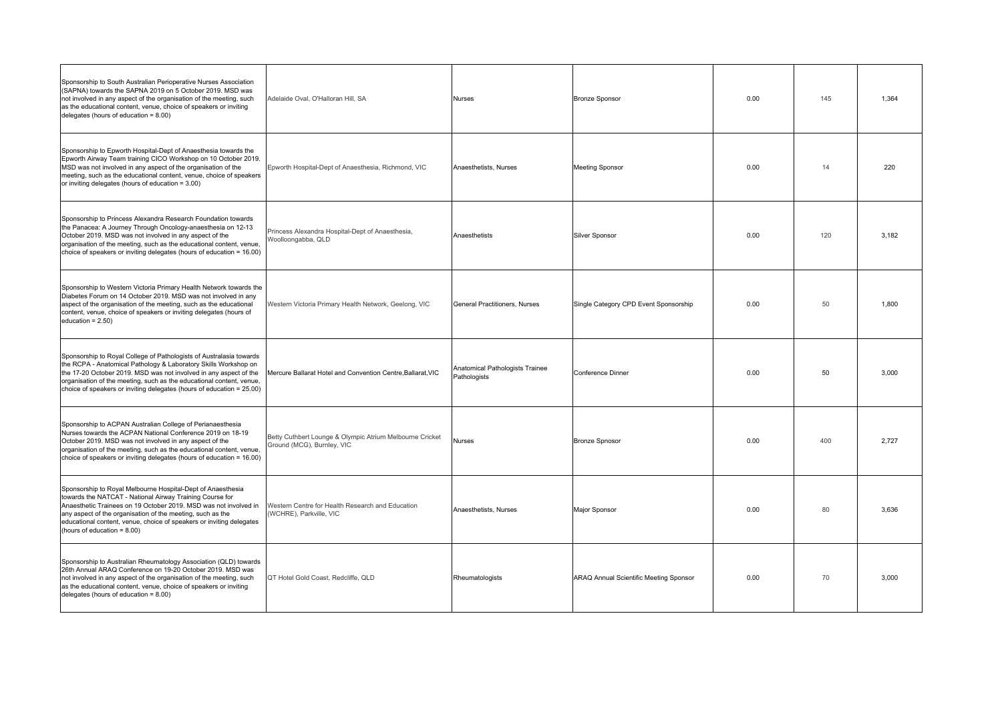| Sponsorship to South Australian Perioperative Nurses Association<br>(SAPNA) towards the SAPNA 2019 on 5 October 2019. MSD was<br>not involved in any aspect of the organisation of the meeting, such<br>as the educational content, venue, choice of speakers or inviting<br>delegates (hours of education $= 8.00$ )                                            | Adelaide Oval, O'Halloran Hill, SA                                                     | <b>Nurses</b>                                   | <b>Bronze Sponsor</b>                  | 0.00 | 145 | 1.364 |
|------------------------------------------------------------------------------------------------------------------------------------------------------------------------------------------------------------------------------------------------------------------------------------------------------------------------------------------------------------------|----------------------------------------------------------------------------------------|-------------------------------------------------|----------------------------------------|------|-----|-------|
| Sponsorship to Epworth Hospital-Dept of Anaesthesia towards the<br>Epworth Airway Team training CICO Workshop on 10 October 2019.<br>MSD was not involved in any aspect of the organisation of the<br>meeting, such as the educational content, venue, choice of speakers<br>or inviting delegates (hours of education = 3.00)                                   | Epworth Hospital-Dept of Anaesthesia, Richmond, VIC                                    | Anaesthetists, Nurses                           | <b>Meeting Sponsor</b>                 | 0.00 | 14  | 220   |
| Sponsorship to Princess Alexandra Research Foundation towards<br>the Panacea: A Journey Through Oncology-anaesthesia on 12-13<br>October 2019. MSD was not involved in any aspect of the<br>organisation of the meeting, such as the educational content, venue,<br>choice of speakers or inviting delegates (hours of education = 16.00)                        | Princess Alexandra Hospital-Dept of Anaesthesia,<br>Woolloongabba, QLD                 | Anaesthetists                                   | <b>Silver Sponsor</b>                  | 0.00 | 120 | 3,182 |
| Sponsorship to Western Victoria Primary Health Network towards the<br>Diabetes Forum on 14 October 2019. MSD was not involved in any<br>aspect of the organisation of the meeting, such as the educational<br>content, venue, choice of speakers or inviting delegates (hours of<br>education = $2.50$ )                                                         | Western Victoria Primary Health Network, Geelong, VIC                                  | General Practitioners, Nurses                   | Single Category CPD Event Sponsorship  | 0.00 | 50  | 1.800 |
| Sponsorship to Royal College of Pathologists of Australasia towards<br>the RCPA - Anatomical Pathology & Laboratory Skills Workshop on<br>the 17-20 October 2019. MSD was not involved in any aspect of the<br>organisation of the meeting, such as the educational content, venue,<br>choice of speakers or inviting delegates (hours of education = 25.00)     | Mercure Ballarat Hotel and Convention Centre, Ballarat, VIC                            | Anatomical Pathologists Trainee<br>Pathologists | <b>Conference Dinner</b>               | 0.00 | 50  | 3.000 |
| Sponsorship to ACPAN Australian College of Perianaesthesia<br>Nurses towards the ACPAN National Conference 2019 on 18-19<br>October 2019. MSD was not involved in any aspect of the<br>organisation of the meeting, such as the educational content, venue,<br>choice of speakers or inviting delegates (hours of education = 16.00)                             | Betty Cuthbert Lounge & Olympic Atrium Melbourne Cricket<br>Ground (MCG), Burnley, VIC | <b>Nurses</b>                                   | <b>Bronze Spnosor</b>                  | 0.00 | 400 | 2.727 |
| Sponsorship to Royal Melbourne Hospital-Dept of Anaesthesia<br>towards the NATCAT - National Airway Training Course for<br>Anaesthetic Trainees on 19 October 2019. MSD was not involved in<br>any aspect of the organisation of the meeting, such as the<br>educational content, venue, choice of speakers or inviting delegates<br>(hours of education = 8.00) | Western Centre for Health Research and Education<br>(WCHRE), Parkville, VIC            | Anaesthetists, Nurses                           | Major Sponsor                          | 0.00 | 80  | 3.636 |
| Sponsorship to Australian Rheumatology Association (QLD) towards<br>26th Annual ARAQ Conference on 19-20 October 2019. MSD was<br>not involved in any aspect of the organisation of the meeting, such<br>as the educational content, venue, choice of speakers or inviting<br>delegates (hours of education = 8.00)                                              | QT Hotel Gold Coast, Redcliffe, QLD                                                    | Rheumatologists                                 | ARAQ Annual Scientific Meeting Sponsor | 0.00 | 70  | 3.000 |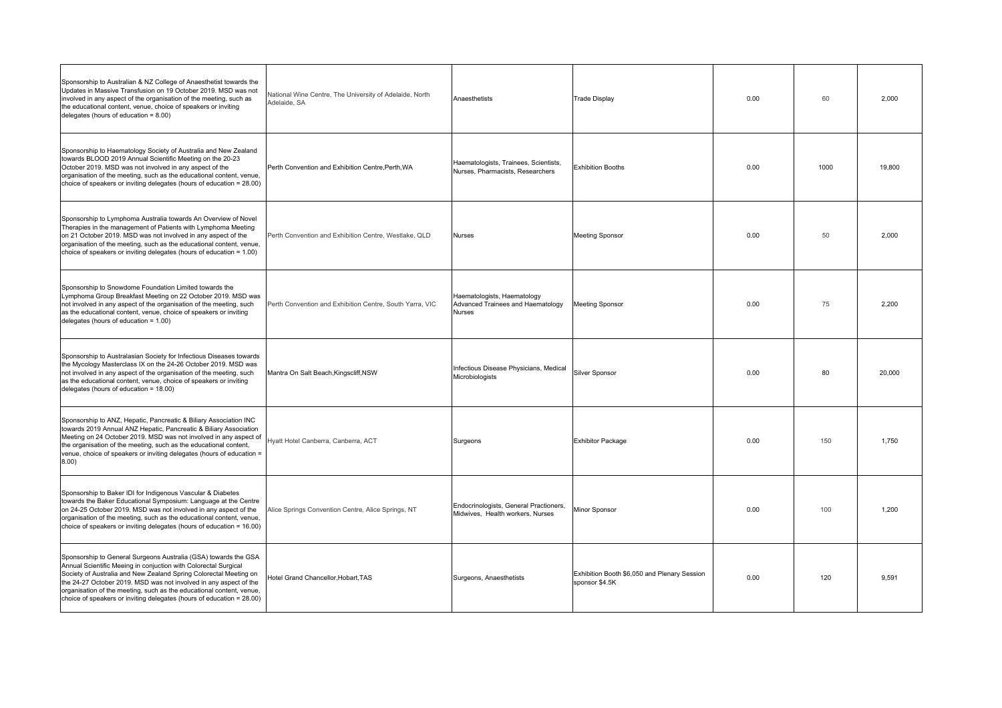| Sponsorship to Australian & NZ College of Anaesthetist towards the<br>Updates in Massive Transfusion on 19 October 2019. MSD was not<br>involved in any aspect of the organisation of the meeting, such as<br>the educational content, venue, choice of speakers or inviting<br>delegates (hours of education $= 8.00$ )                                                                                                      | National Wine Centre, The University of Adelaide, North<br>Adelaide, SA | Anaesthetists                                                              | <b>Trade Display</b>                                           | 0.00 | 60   | 2,000  |
|-------------------------------------------------------------------------------------------------------------------------------------------------------------------------------------------------------------------------------------------------------------------------------------------------------------------------------------------------------------------------------------------------------------------------------|-------------------------------------------------------------------------|----------------------------------------------------------------------------|----------------------------------------------------------------|------|------|--------|
| Sponsorship to Haematology Society of Australia and New Zealand<br>towards BLOOD 2019 Annual Scientific Meeting on the 20-23<br>October 2019. MSD was not involved in any aspect of the<br>organisation of the meeting, such as the educational content, venue,<br>choice of speakers or inviting delegates (hours of education = 28.00)                                                                                      | Perth Convention and Exhibition Centre, Perth, WA                       | Haematologists, Trainees, Scientists,<br>Nurses, Pharmacists, Researchers  | <b>Exhibition Booths</b>                                       | 0.00 | 1000 | 19,800 |
| Sponsorship to Lymphoma Australia towards An Overview of Novel<br>Therapies in the management of Patients with Lymphoma Meeting<br>on 21 October 2019. MSD was not involved in any aspect of the<br>organisation of the meeting, such as the educational content, venue,<br>choice of speakers or inviting delegates (hours of education = 1.00)                                                                              | Perth Convention and Exhibition Centre, Westlake, QLD                   | Nurses                                                                     | <b>Meeting Sponsor</b>                                         | 0.00 | 50   | 2,000  |
| Sponsorship to Snowdome Foundation Limited towards the<br>Lymphoma Group Breakfast Meeting on 22 October 2019. MSD was<br>not involved in any aspect of the organisation of the meeting, such<br>as the educational content, venue, choice of speakers or inviting<br>delegates (hours of education = 1.00)                                                                                                                   | Perth Convention and Exhibition Centre, South Yarra, VIC                | Haematologists, Haematology<br>Advanced Trainees and Haematology<br>Nurses | <b>Meeting Sponsor</b>                                         | 0.00 | 75   | 2,200  |
| Sponsorship to Australasian Society for Infectious Diseases towards<br>the Mycology Masterclass IX on the 24-26 October 2019. MSD was<br>not involved in any aspect of the organisation of the meeting, such<br>as the educational content, venue, choice of speakers or inviting<br>delegates (hours of education = 18.00)                                                                                                   | Mantra On Salt Beach, Kingscliff, NSW                                   | Infectious Disease Physicians, Medical<br>Microbiologists                  | <b>Silver Sponsor</b>                                          | 0.00 | 80   | 20,000 |
| Sponsorship to ANZ, Hepatic, Pancreatic & Biliary Association INC<br>towards 2019 Annual ANZ Hepatic, Pancreatic & Biliary Association<br>Meeting on 24 October 2019. MSD was not involved in any aspect of<br>the organisation of the meeting, such as the educational content,<br>venue, choice of speakers or inviting delegates (hours of education =<br>(0.8, 8)                                                         | Hyatt Hotel Canberra, Canberra, ACT                                     | Surgeons                                                                   | <b>Exhibitor Package</b>                                       | 0.00 | 150  | 1,750  |
| Sponsorship to Baker IDI for Indigenous Vascular & Diabetes<br>towards the Baker Educational Symposium: Language at the Centre<br>on 24-25 October 2019. MSD was not involved in any aspect of the<br>organisation of the meeting, such as the educational content, venue,<br>choice of speakers or inviting delegates (hours of education = 16.00)                                                                           | Alice Springs Convention Centre, Alice Springs, NT                      | Endocrinologists, General Practioners,<br>Midwives, Health workers, Nurses | Minor Sponsor                                                  | 0.00 | 100  | 1.200  |
| Sponsorship to General Surgeons Australia (GSA) towards the GSA<br>Annual Scientific Meeing in conjuction with Colorectal Surgical<br>Society of Australia and New Zealand Spring Colorectal Meeting on<br>the 24-27 October 2019. MSD was not involved in any aspect of the<br>organisation of the meeting, such as the educational content, venue,<br>choice of speakers or inviting delegates (hours of education = 28.00) | Hotel Grand Chancellor, Hobart, TAS                                     | Surgeons, Anaesthetists                                                    | Exhibition Booth \$6,050 and Plenary Session<br>sponsor \$4.5K | 0.00 | 120  | 9.591  |